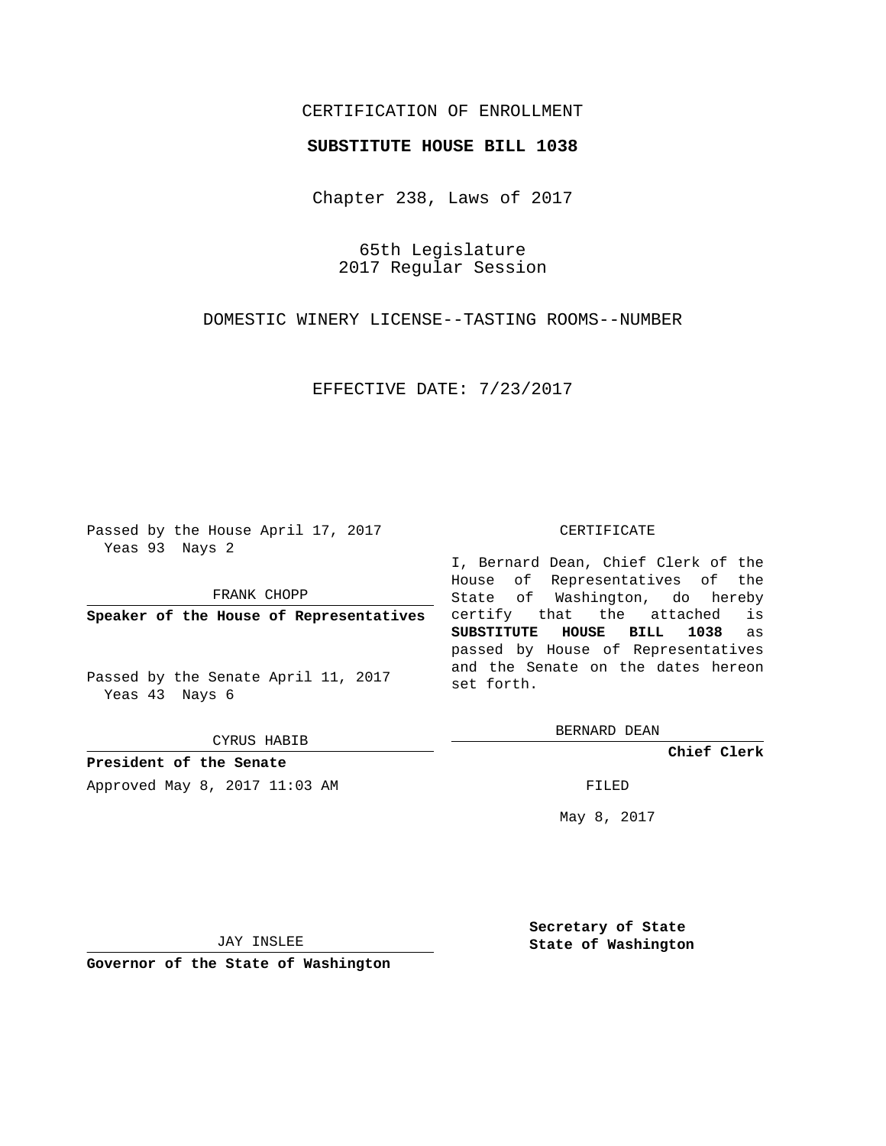# CERTIFICATION OF ENROLLMENT

## **SUBSTITUTE HOUSE BILL 1038**

Chapter 238, Laws of 2017

65th Legislature 2017 Regular Session

DOMESTIC WINERY LICENSE--TASTING ROOMS--NUMBER

EFFECTIVE DATE: 7/23/2017

Passed by the House April 17, 2017 Yeas 93 Nays 2

FRANK CHOPP

**Speaker of the House of Representatives**

Passed by the Senate April 11, 2017 Yeas 43 Nays 6

CYRUS HABIB

**President of the Senate**

Approved May 8, 2017 11:03 AM FILED

#### CERTIFICATE

I, Bernard Dean, Chief Clerk of the House of Representatives of the State of Washington, do hereby certify that the attached is **SUBSTITUTE HOUSE BILL 1038** as passed by House of Representatives and the Senate on the dates hereon set forth.

BERNARD DEAN

**Chief Clerk**

May 8, 2017

JAY INSLEE

**Governor of the State of Washington**

**Secretary of State State of Washington**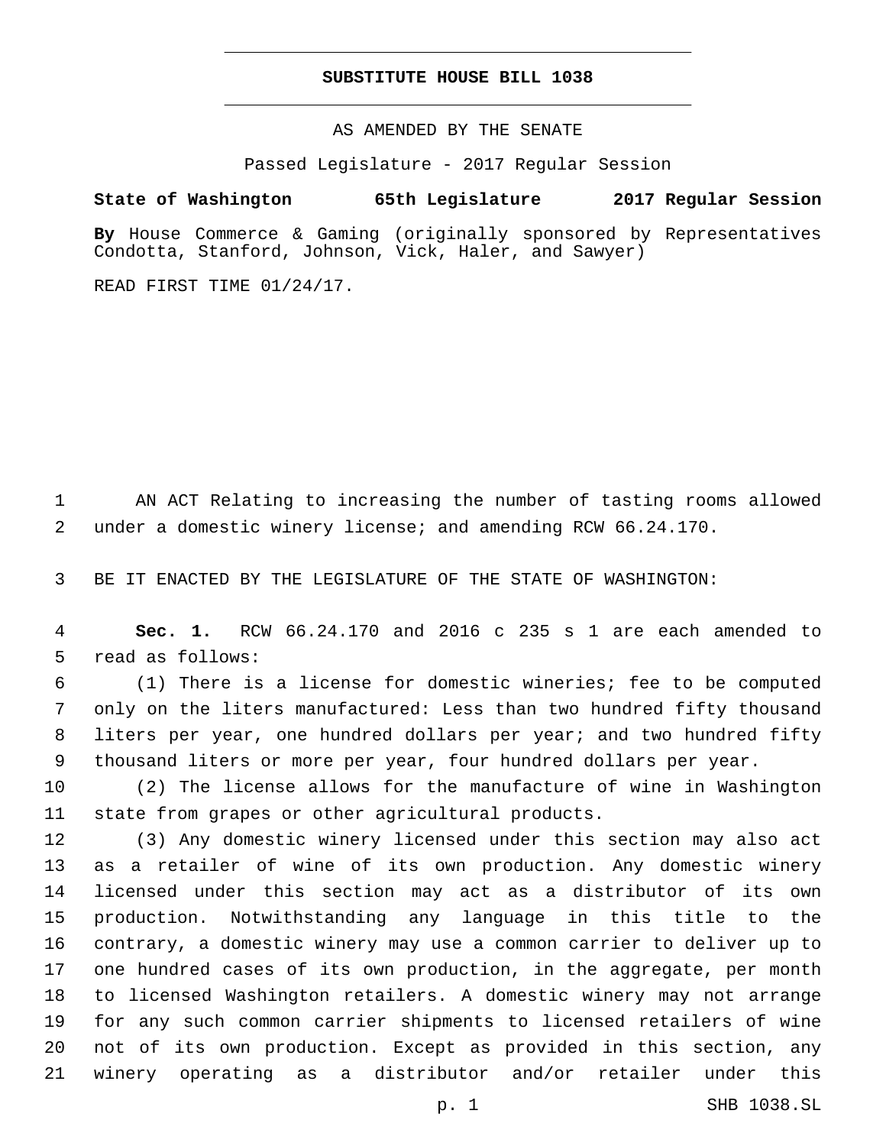## **SUBSTITUTE HOUSE BILL 1038**

AS AMENDED BY THE SENATE

Passed Legislature - 2017 Regular Session

# **State of Washington 65th Legislature 2017 Regular Session**

**By** House Commerce & Gaming (originally sponsored by Representatives Condotta, Stanford, Johnson, Vick, Haler, and Sawyer)

READ FIRST TIME 01/24/17.

 AN ACT Relating to increasing the number of tasting rooms allowed under a domestic winery license; and amending RCW 66.24.170.

BE IT ENACTED BY THE LEGISLATURE OF THE STATE OF WASHINGTON:

 **Sec. 1.** RCW 66.24.170 and 2016 c 235 s 1 are each amended to 5 read as follows:

 (1) There is a license for domestic wineries; fee to be computed only on the liters manufactured: Less than two hundred fifty thousand liters per year, one hundred dollars per year; and two hundred fifty thousand liters or more per year, four hundred dollars per year.

 (2) The license allows for the manufacture of wine in Washington 11 state from grapes or other agricultural products.

 (3) Any domestic winery licensed under this section may also act as a retailer of wine of its own production. Any domestic winery licensed under this section may act as a distributor of its own production. Notwithstanding any language in this title to the contrary, a domestic winery may use a common carrier to deliver up to one hundred cases of its own production, in the aggregate, per month to licensed Washington retailers. A domestic winery may not arrange for any such common carrier shipments to licensed retailers of wine not of its own production. Except as provided in this section, any winery operating as a distributor and/or retailer under this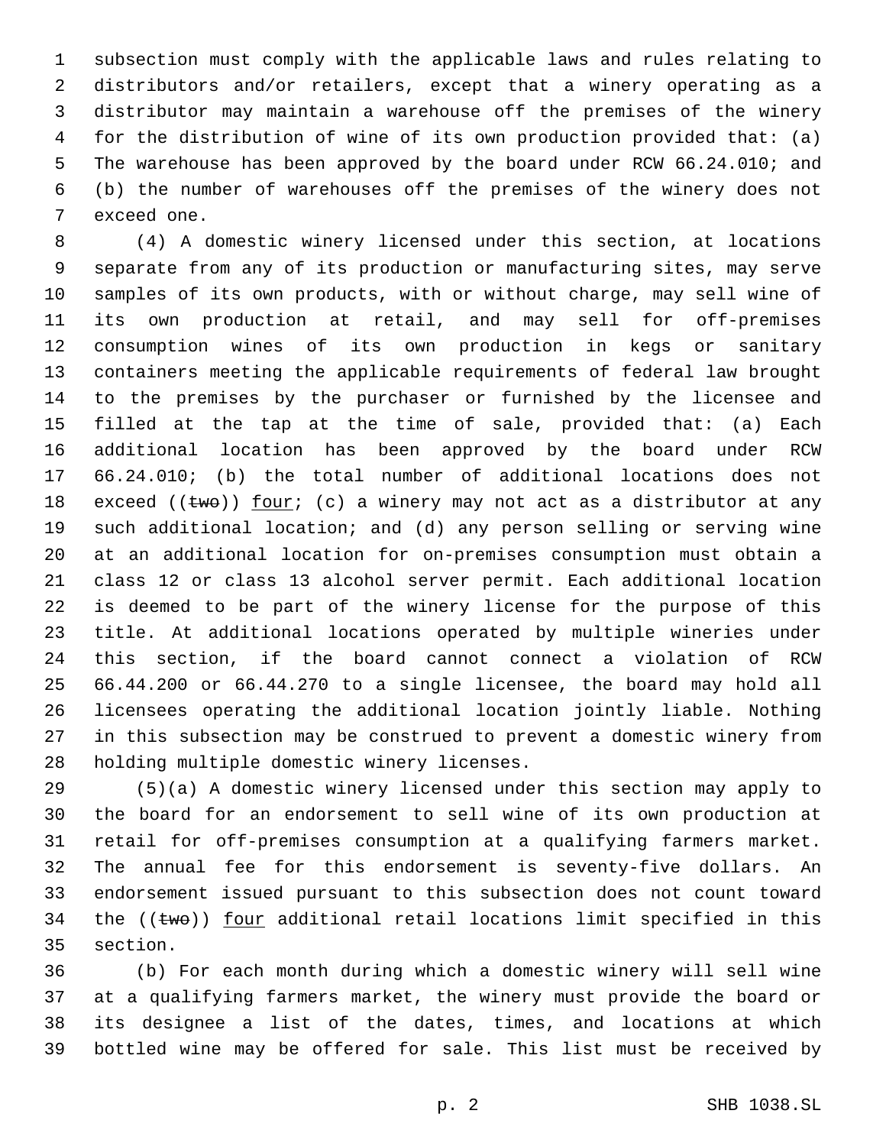subsection must comply with the applicable laws and rules relating to distributors and/or retailers, except that a winery operating as a distributor may maintain a warehouse off the premises of the winery for the distribution of wine of its own production provided that: (a) The warehouse has been approved by the board under RCW 66.24.010; and (b) the number of warehouses off the premises of the winery does not 7 exceed one.

 (4) A domestic winery licensed under this section, at locations separate from any of its production or manufacturing sites, may serve samples of its own products, with or without charge, may sell wine of its own production at retail, and may sell for off-premises consumption wines of its own production in kegs or sanitary containers meeting the applicable requirements of federal law brought to the premises by the purchaser or furnished by the licensee and filled at the tap at the time of sale, provided that: (a) Each additional location has been approved by the board under RCW 66.24.010; (b) the total number of additional locations does not 18 exceed (( $t$ we)) four; (c) a winery may not act as a distributor at any such additional location; and (d) any person selling or serving wine at an additional location for on-premises consumption must obtain a class 12 or class 13 alcohol server permit. Each additional location is deemed to be part of the winery license for the purpose of this title. At additional locations operated by multiple wineries under this section, if the board cannot connect a violation of RCW 66.44.200 or 66.44.270 to a single licensee, the board may hold all licensees operating the additional location jointly liable. Nothing in this subsection may be construed to prevent a domestic winery from 28 holding multiple domestic winery licenses.

 (5)(a) A domestic winery licensed under this section may apply to the board for an endorsement to sell wine of its own production at retail for off-premises consumption at a qualifying farmers market. The annual fee for this endorsement is seventy-five dollars. An endorsement issued pursuant to this subsection does not count toward 34 the  $((\text{two}))$  four additional retail locations limit specified in this 35 section.

 (b) For each month during which a domestic winery will sell wine at a qualifying farmers market, the winery must provide the board or its designee a list of the dates, times, and locations at which bottled wine may be offered for sale. This list must be received by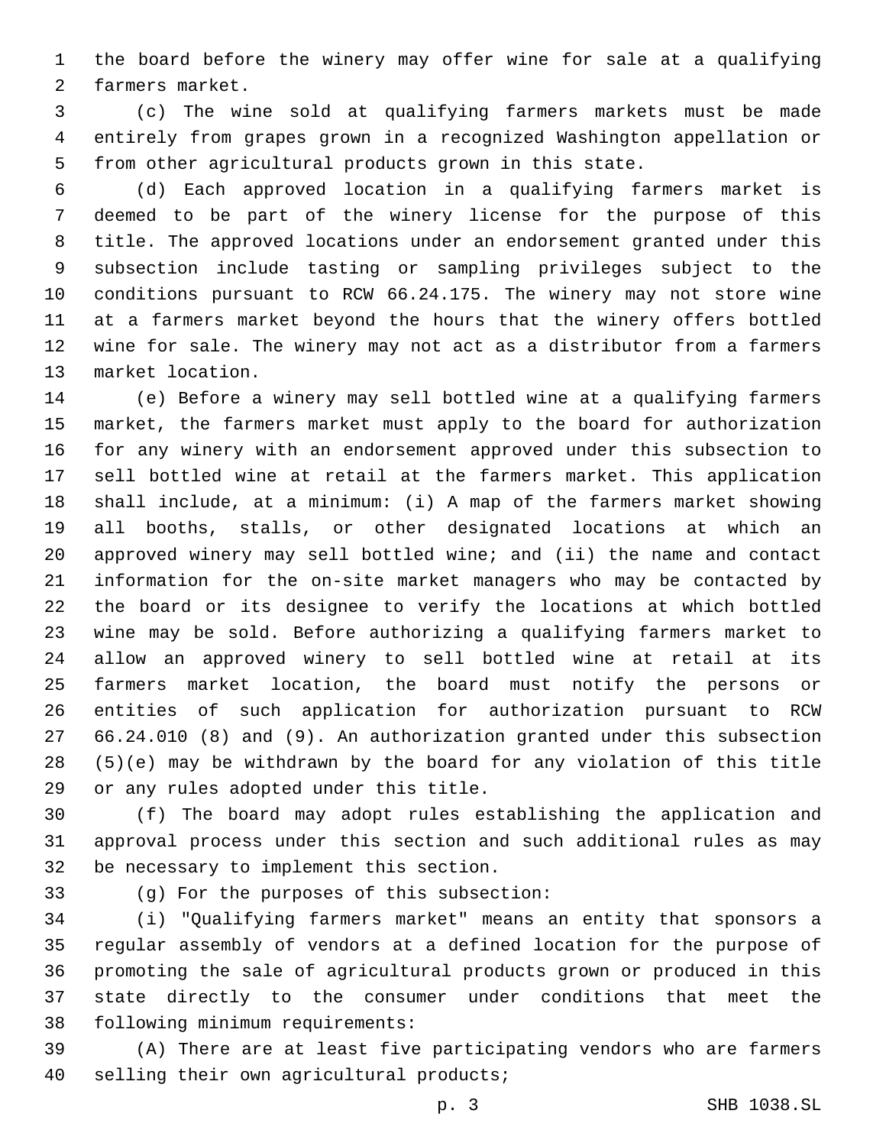the board before the winery may offer wine for sale at a qualifying 2 farmers market.

 (c) The wine sold at qualifying farmers markets must be made entirely from grapes grown in a recognized Washington appellation or from other agricultural products grown in this state.

 (d) Each approved location in a qualifying farmers market is deemed to be part of the winery license for the purpose of this title. The approved locations under an endorsement granted under this subsection include tasting or sampling privileges subject to the conditions pursuant to RCW 66.24.175. The winery may not store wine at a farmers market beyond the hours that the winery offers bottled wine for sale. The winery may not act as a distributor from a farmers 13 market location.

 (e) Before a winery may sell bottled wine at a qualifying farmers market, the farmers market must apply to the board for authorization for any winery with an endorsement approved under this subsection to sell bottled wine at retail at the farmers market. This application shall include, at a minimum: (i) A map of the farmers market showing all booths, stalls, or other designated locations at which an approved winery may sell bottled wine; and (ii) the name and contact information for the on-site market managers who may be contacted by the board or its designee to verify the locations at which bottled wine may be sold. Before authorizing a qualifying farmers market to allow an approved winery to sell bottled wine at retail at its farmers market location, the board must notify the persons or entities of such application for authorization pursuant to RCW 66.24.010 (8) and (9). An authorization granted under this subsection (5)(e) may be withdrawn by the board for any violation of this title 29 or any rules adopted under this title.

 (f) The board may adopt rules establishing the application and approval process under this section and such additional rules as may 32 be necessary to implement this section.

(g) For the purposes of this subsection:

 (i) "Qualifying farmers market" means an entity that sponsors a regular assembly of vendors at a defined location for the purpose of promoting the sale of agricultural products grown or produced in this state directly to the consumer under conditions that meet the 38 following minimum requirements:

 (A) There are at least five participating vendors who are farmers 40 selling their own agricultural products;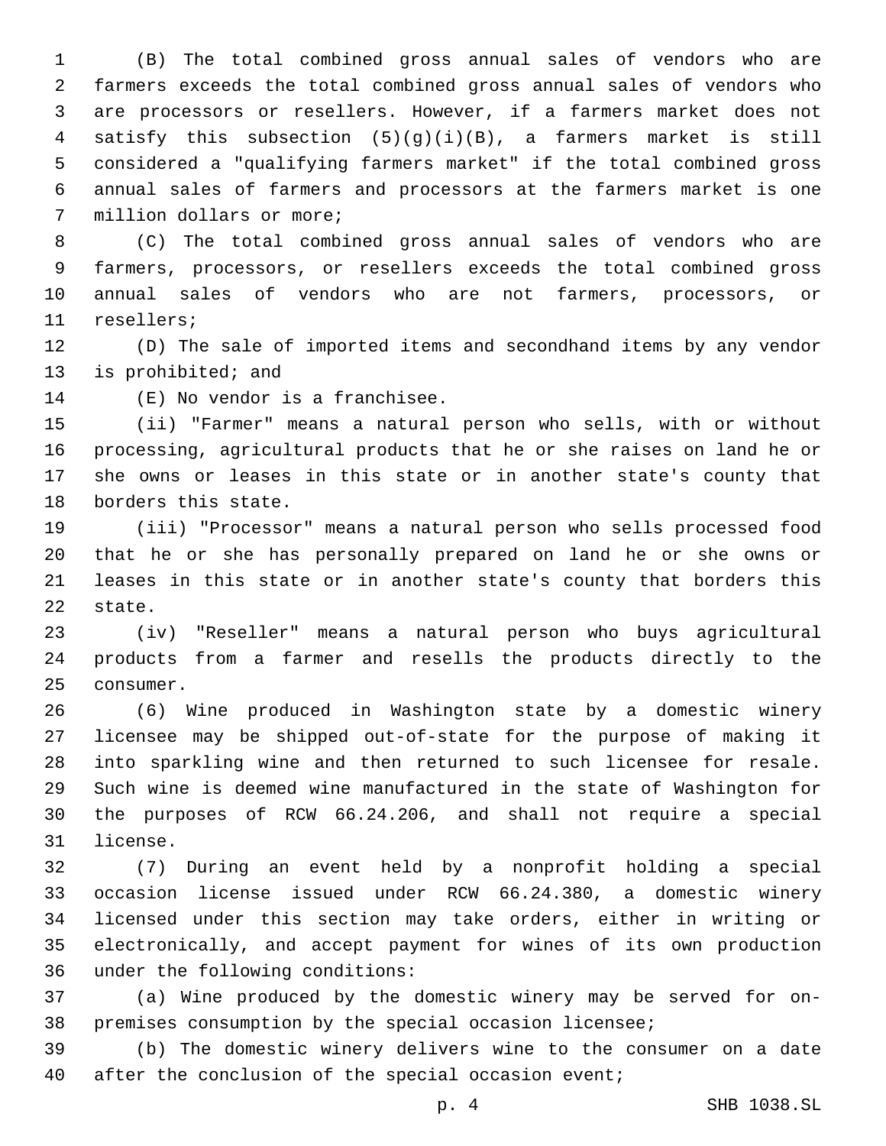(B) The total combined gross annual sales of vendors who are farmers exceeds the total combined gross annual sales of vendors who are processors or resellers. However, if a farmers market does not satisfy this subsection (5)(g)(i)(B), a farmers market is still considered a "qualifying farmers market" if the total combined gross annual sales of farmers and processors at the farmers market is one 7 million dollars or more;

 (C) The total combined gross annual sales of vendors who are farmers, processors, or resellers exceeds the total combined gross annual sales of vendors who are not farmers, processors, or 11 resellers;

 (D) The sale of imported items and secondhand items by any vendor 13 is prohibited; and

14 (E) No vendor is a franchisee.

 (ii) "Farmer" means a natural person who sells, with or without processing, agricultural products that he or she raises on land he or she owns or leases in this state or in another state's county that 18 borders this state.

 (iii) "Processor" means a natural person who sells processed food that he or she has personally prepared on land he or she owns or leases in this state or in another state's county that borders this 22 state.

 (iv) "Reseller" means a natural person who buys agricultural products from a farmer and resells the products directly to the 25 consumer.

 (6) Wine produced in Washington state by a domestic winery licensee may be shipped out-of-state for the purpose of making it into sparkling wine and then returned to such licensee for resale. Such wine is deemed wine manufactured in the state of Washington for the purposes of RCW 66.24.206, and shall not require a special 31 license.

 (7) During an event held by a nonprofit holding a special occasion license issued under RCW 66.24.380, a domestic winery licensed under this section may take orders, either in writing or electronically, and accept payment for wines of its own production 36 under the following conditions:

 (a) Wine produced by the domestic winery may be served for on-premises consumption by the special occasion licensee;

 (b) The domestic winery delivers wine to the consumer on a date after the conclusion of the special occasion event;

p. 4 SHB 1038.SL